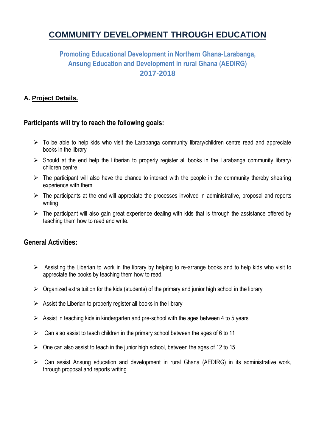# **COMMUNITY DEVELOPMENT THROUGH EDUCATION**

# **Promoting Educational Development in Northern Ghana-Larabanga, Ansung Education and Development in rural Ghana (AEDIRG) 2017-2018**

# **A. Project Details.**

# **Participants will try to reach the following goals:**

- $\triangleright$  To be able to help kids who visit the Larabanga community library/children centre read and appreciate books in the library
- $\triangleright$  Should at the end help the Liberian to properly register all books in the Larabanga community library/ children centre
- $\triangleright$  The participant will also have the chance to interact with the people in the community thereby shearing experience with them
- $\triangleright$  The participants at the end will appreciate the processes involved in administrative, proposal and reports writing
- $\triangleright$  The participant will also gain great experience dealing with kids that is through the assistance offered by teaching them how to read and write.

# **General Activities:**

- $\triangleright$  Assisting the Liberian to work in the library by helping to re-arrange books and to help kids who visit to appreciate the books by teaching them how to read.
- $\triangleright$  Organized extra tuition for the kids (students) of the primary and junior high school in the library
- $\triangleright$  Assist the Liberian to properly register all books in the library
- $\triangleright$  Assist in teaching kids in kindergarten and pre-school with the ages between 4 to 5 years
- $\triangleright$  Can also assist to teach children in the primary school between the ages of 6 to 11
- $\triangleright$  One can also assist to teach in the junior high school, between the ages of 12 to 15
- $\triangleright$  Can assist Ansung education and development in rural Ghana (AEDIRG) in its administrative work, through proposal and reports writing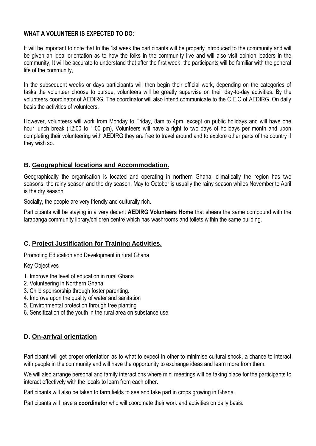#### **WHAT A VOLUNTEER IS EXPECTED TO DO:**

It will be important to note that In the 1st week the participants will be properly introduced to the community and will be given an ideal orientation as to how the folks in the community live and will also visit opinion leaders in the community, It will be accurate to understand that after the first week, the participants will be familiar with the general life of the community,

In the subsequent weeks or days participants will then begin their official work, depending on the categories of tasks the volunteer choose to pursue, volunteers will be greatly supervise on their day-to-day activities. By the volunteers coordinator of AEDIRG. The coordinator will also intend communicate to the C.E.O of AEDIRG. On daily basis the activities of volunteers.

However, volunteers will work from Monday to Friday, 8am to 4pm, except on public holidays and will have one hour lunch break (12:00 to 1:00 pm), Volunteers will have a right to two days of holidays per month and upon completing their volunteering with AEDIRG they are free to travel around and to explore other parts of the country if they wish so.

#### **B. Geographical locations and Accommodation.**

Geographically the organisation is located and operating in northern Ghana, climatically the region has two seasons, the rainy season and the dry season. May to October is usually the rainy season whiles November to April is the dry season.

Socially, the people are very friendly and culturally rich.

Participants will be staying in a very decent **AEDIRG Volunteers Home** that shears the same compound with the larabanga community library/children centre which has washrooms and toilets within the same building.

#### **C. Project Justification for Training Activities.**

Promoting Education and Development in rural Ghana

Key Objectives

- 1. Improve the level of education in rural Ghana
- 2. Volunteering in Northern Ghana
- 3. Child sponsorship through foster parenting.
- 4. Improve upon the quality of water and sanitation
- 5. Environmental protection through tree planting
- 6. Sensitization of the youth in the rural area on substance use.

#### **D. On-arrival orientation**

Participant will get proper orientation as to what to expect in other to minimise cultural shock, a chance to interact with people in the community and will have the opportunity to exchange ideas and learn more from them.

We will also arrange personal and family interactions where mini meetings will be taking place for the participants to interact effectively with the locals to learn from each other.

Participants will also be taken to farm fields to see and take part in crops growing in Ghana.

Participants will have a **coordinator** who will coordinate their work and activities on daily basis.